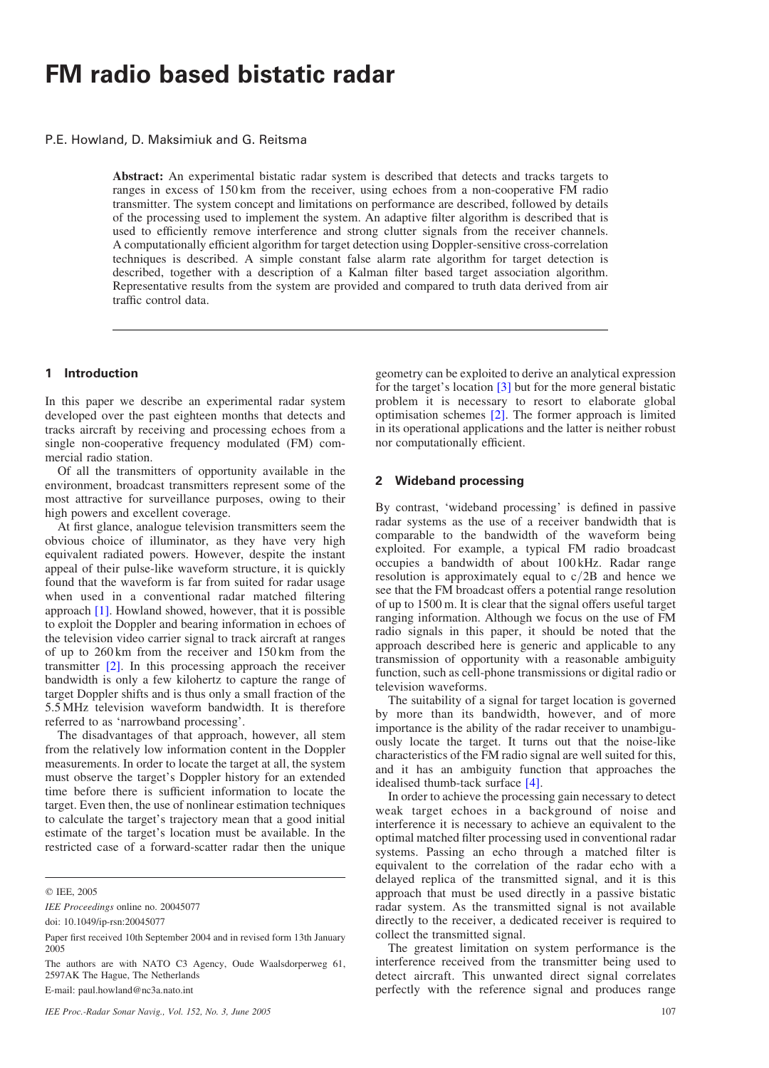# FM radio based bistatic radar

## P.E. Howland, D. Maksimiuk and G. Reitsma

Abstract: An experimental bistatic radar system is described that detects and tracks targets to ranges in excess of 150 km from the receiver, using echoes from a non-cooperative FM radio transmitter. The system concept and limitations on performance are described, followed by details of the processing used to implement the system. An adaptive filter algorithm is described that is used to efficiently remove interference and strong clutter signals from the receiver channels. A computationally efficient algorithm for target detection using Doppler-sensitive cross-correlation techniques is described. A simple constant false alarm rate algorithm for target detection is described, together with a description of a Kalman filter based target association algorithm. Representative results from the system are provided and compared to truth data derived from air traffic control data.

#### 1 Introduction

In this paper we describe an experimental radar system developed over the past eighteen months that detects and tracks aircraft by receiving and processing echoes from a single non-cooperative frequency modulated (FM) commercial radio station.

Of all the transmitters of opportunity available in the environment, broadcast transmitters represent some of the most attractive for surveillance purposes, owing to their high powers and excellent coverage.

At first glance, analogue television transmitters seem the obvious choice of illuminator, as they have very high equivalent radiated powers. However, despite the instant appeal of their pulse-like waveform structure, it is quickly found that the waveform is far from suited for radar usage when used in a conventional radar matched filtering approach [\[1\].](#page-8-0) Howland showed, however, that it is possible to exploit the Doppler and bearing information in echoes of the television video carrier signal to track aircraft at ranges of up to 260 km from the receiver and 150 km from the transmitter [\[2\].](#page-8-0) In this processing approach the receiver bandwidth is only a few kilohertz to capture the range of target Doppler shifts and is thus only a small fraction of the 5.5 MHz television waveform bandwidth. It is therefore referred to as 'narrowband processing'.

The disadvantages of that approach, however, all stem from the relatively low information content in the Doppler measurements. In order to locate the target at all, the system must observe the target's Doppler history for an extended time before there is sufficient information to locate the target. Even then, the use of nonlinear estimation techniques to calculate the target's trajectory mean that a good initial estimate of the target's location must be available. In the restricted case of a forward-scatter radar then the unique

doi: 10.1049/ip-rsn:20045077

The authors are with NATO C3 Agency, Oude Waalsdorperweg 61, 2597AK The Hague, The Netherlands

E-mail: paul.howland@nc3a.nato.int

geometry can be exploited to derive an analytical expression for the target's location [\[3\]](#page-8-0) but for the more general bistatic problem it is necessary to resort to elaborate global optimisation schemes [\[2\]](#page-8-0). The former approach is limited in its operational applications and the latter is neither robust nor computationally efficient.

# 2 Wideband processing

By contrast, 'wideband processing' is defined in passive radar systems as the use of a receiver bandwidth that is comparable to the bandwidth of the waveform being exploited. For example, a typical FM radio broadcast occupies a bandwidth of about 100 kHz. Radar range resolution is approximately equal to  $c/2B$  and hence we see that the FM broadcast offers a potential range resolution of up to 1500 m. It is clear that the signal offers useful target ranging information. Although we focus on the use of FM radio signals in this paper, it should be noted that the approach described here is generic and applicable to any transmission of opportunity with a reasonable ambiguity function, such as cell-phone transmissions or digital radio or television waveforms.

The suitability of a signal for target location is governed by more than its bandwidth, however, and of more importance is the ability of the radar receiver to unambiguously locate the target. It turns out that the noise-like characteristics of the FM radio signal are well suited for this, and it has an ambiguity function that approaches the idealised thumb-tack surface [\[4\].](#page-8-0)

In order to achieve the processing gain necessary to detect weak target echoes in a background of noise and interference it is necessary to achieve an equivalent to the optimal matched filter processing used in conventional radar systems. Passing an echo through a matched filter is equivalent to the correlation of the radar echo with a delayed replica of the transmitted signal, and it is this approach that must be used directly in a passive bistatic radar system. As the transmitted signal is not available directly to the receiver, a dedicated receiver is required to collect the transmitted signal.

The greatest limitation on system performance is the interference received from the transmitter being used to detect aircraft. This unwanted direct signal correlates perfectly with the reference signal and produces range

<sup>©</sup> IEE, 2005

IEE Proceedings online no. 20045077

Paper first received 10th September 2004 and in revised form 13th January 2005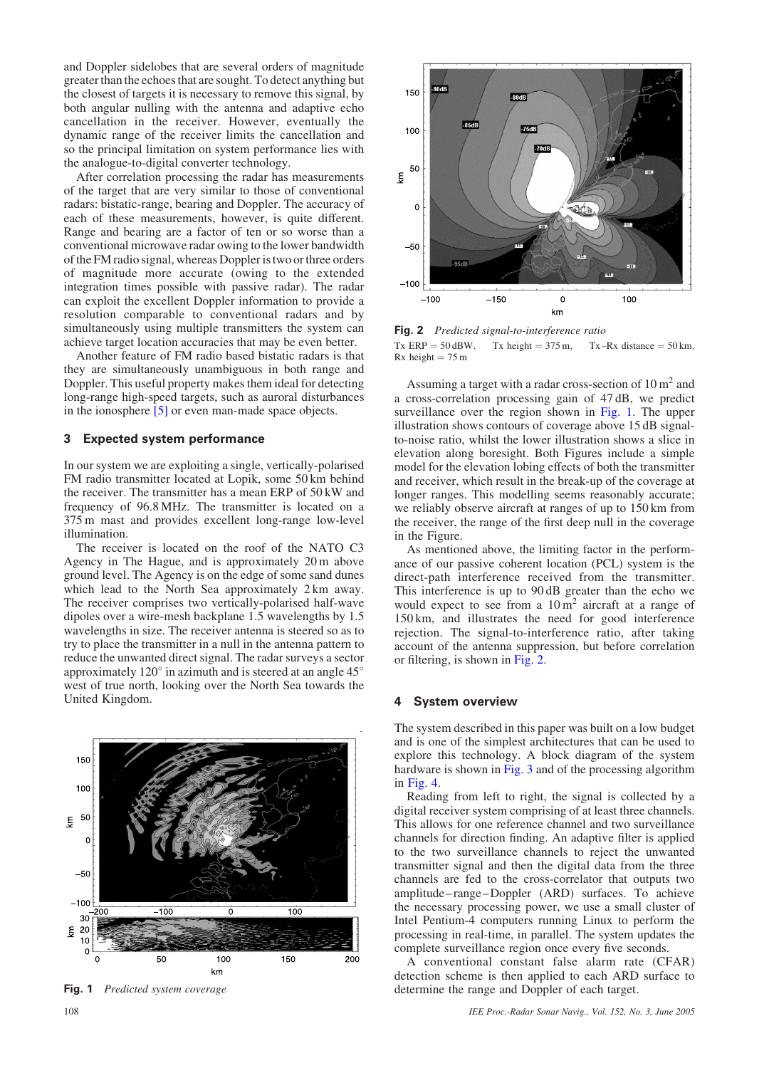and Doppler sidelobes that are several orders of magnitude greater than the echoes that are sought. To detect anything but the closest of targets it is necessary to remove this signal, by both angular nulling with the antenna and adaptive echo cancellation in the receiver. However, eventually the dynamic range of the receiver limits the cancellation and so the principal limitation on system performance lies with the analogue-to-digital converter technology.

After correlation processing the radar has measurements of the target that are very similar to those of conventional radars: bistatic-range, bearing and Doppler. The accuracy of each of these measurements, however, is quite different. Range and bearing are a factor of ten or so worse than a conventional microwave radar owing to the lower bandwidth of the FM radio signal, whereas Doppler is two or three orders of magnitude more accurate (owing to the extended integration times possible with passive radar). The radar can exploit the excellent Doppler information to provide a resolution comparable to conventional radars and by simultaneously using multiple transmitters the system can achieve target location accuracies that may be even better.

Another feature of FM radio based bistatic radars is that they are simultaneously unambiguous in both range and Doppler. This useful property makes them ideal for detecting long-range high-speed targets, such as auroral disturbances in the ionosphere [\[5\]](#page-8-0) or even man-made space objects.

## 3 Expected system performance

In our system we are exploiting a single, vertically-polarised FM radio transmitter located at Lopik, some 50 km behind the receiver. The transmitter has a mean ERP of 50 kW and frequency of 96.8 MHz. The transmitter is located on a 375 m mast and provides excellent long-range low-level illumination.

The receiver is located on the roof of the NATO C3 Agency in The Hague, and is approximately 20 m above ground level. The Agency is on the edge of some sand dunes which lead to the North Sea approximately 2 km away. The receiver comprises two vertically-polarised half-wave dipoles over a wire-mesh backplane 1.5 wavelengths by 1.5 wavelengths in size. The receiver antenna is steered so as to try to place the transmitter in a null in the antenna pattern to reduce the unwanted direct signal. The radar surveys a sector approximately  $120^{\circ}$  in azimuth and is steered at an angle  $45^{\circ}$ west of true north, looking over the North Sea towards the United Kingdom.





Fig. 2 Predicted signal-to-interference ratio Tx  $ERP = 50$  dBW; Tx height = 375 m; Tx–Rx distance = 50 km;  $Rx$  height = 75 m

Assuming a target with a radar cross-section of  $10 \text{ m}^2$  and a cross-correlation processing gain of 47 dB, we predict surveillance over the region shown in Fig. 1. The upper illustration shows contours of coverage above 15 dB signalto-noise ratio, whilst the lower illustration shows a slice in elevation along boresight. Both Figures include a simple model for the elevation lobing effects of both the transmitter and receiver, which result in the break-up of the coverage at longer ranges. This modelling seems reasonably accurate; we reliably observe aircraft at ranges of up to 150 km from the receiver, the range of the first deep null in the coverage in the Figure.

As mentioned above, the limiting factor in the performance of our passive coherent location (PCL) system is the direct-path interference received from the transmitter. This interference is up to 90 dB greater than the echo we would expect to see from a  $10 \text{ m}^2$  aircraft at a range of 150 km, and illustrates the need for good interference rejection. The signal-to-interference ratio, after taking account of the antenna suppression, but before correlation or filtering, is shown in Fig. 2.

## 4 System overview

The system described in this paper was built on a low budget and is one of the simplest architectures that can be used to explore this technology. A block diagram of the system hardware is shown in [Fig. 3](#page-2-0) and of the processing algorithm in [Fig. 4](#page-2-0).

Reading from left to right, the signal is collected by a digital receiver system comprising of at least three channels. This allows for one reference channel and two surveillance channels for direction finding. An adaptive filter is applied to the two surveillance channels to reject the unwanted transmitter signal and then the digital data from the three channels are fed to the cross-correlator that outputs two amplitude – range –Doppler (ARD) surfaces. To achieve the necessary processing power, we use a small cluster of Intel Pentium-4 computers running Linux to perform the processing in real-time, in parallel. The system updates the complete surveillance region once every five seconds.

A conventional constant false alarm rate (CFAR) detection scheme is then applied to each ARD surface to Fig. 1 Predicted system coverage determine the range and Doppler of each target.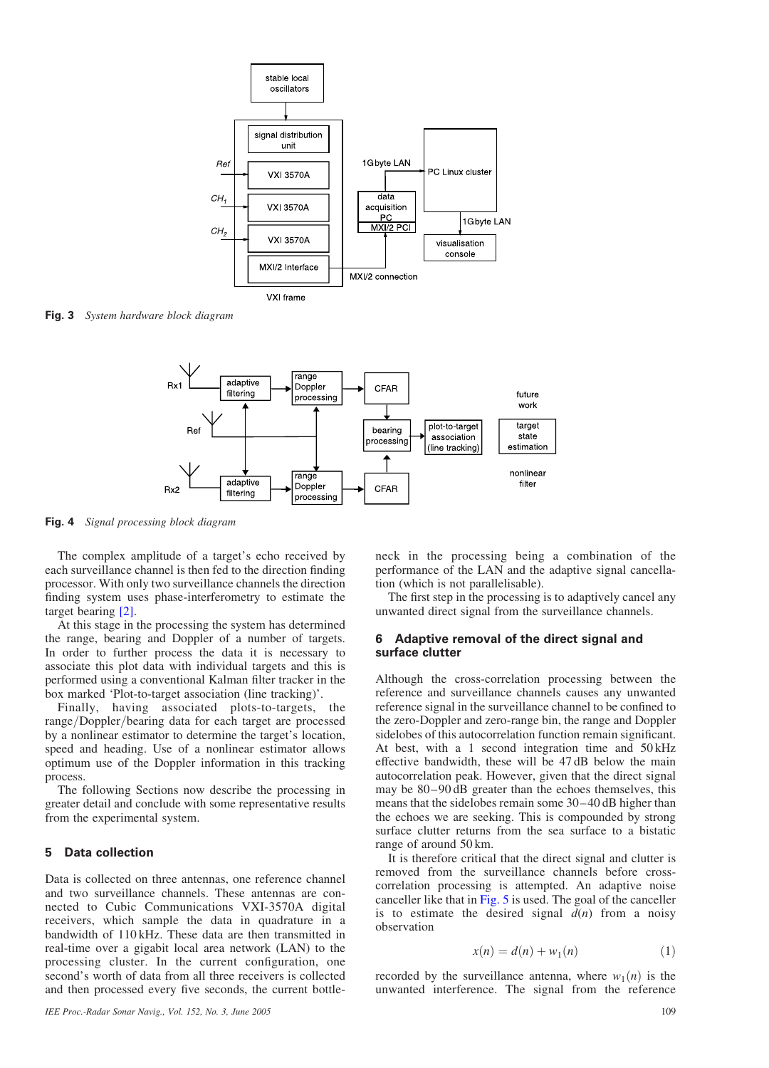<span id="page-2-0"></span>

Fig. 3 System hardware block diagram



Fig. 4 Signal processing block diagram

The complex amplitude of a target's echo received by each surveillance channel is then fed to the direction finding processor. With only two surveillance channels the direction finding system uses phase-interferometry to estimate the target bearing [\[2\]](#page-8-0).

At this stage in the processing the system has determined the range, bearing and Doppler of a number of targets. In order to further process the data it is necessary to associate this plot data with individual targets and this is performed using a conventional Kalman filter tracker in the box marked 'Plot-to-target association (line tracking)'.

Finally, having associated plots-to-targets, the range/Doppler/bearing data for each target are processed by a nonlinear estimator to determine the target's location, speed and heading. Use of a nonlinear estimator allows optimum use of the Doppler information in this tracking process.

The following Sections now describe the processing in greater detail and conclude with some representative results from the experimental system.

## 5 Data collection

Data is collected on three antennas, one reference channel and two surveillance channels. These antennas are connected to Cubic Communications VXI-3570A digital receivers, which sample the data in quadrature in a bandwidth of 110 kHz. These data are then transmitted in real-time over a gigabit local area network (LAN) to the processing cluster. In the current configuration, one second's worth of data from all three receivers is collected and then processed every five seconds, the current bottleneck in the processing being a combination of the performance of the LAN and the adaptive signal cancellation (which is not parallelisable).

The first step in the processing is to adaptively cancel any unwanted direct signal from the surveillance channels.

# 6 Adaptive removal of the direct signal and surface clutter

Although the cross-correlation processing between the reference and surveillance channels causes any unwanted reference signal in the surveillance channel to be confined to the zero-Doppler and zero-range bin, the range and Doppler sidelobes of this autocorrelation function remain significant. At best, with a 1 second integration time and 50 kHz effective bandwidth, these will be 47 dB below the main autocorrelation peak. However, given that the direct signal may be 80–90 dB greater than the echoes themselves, this means that the sidelobes remain some 30 – 40 dB higher than the echoes we are seeking. This is compounded by strong surface clutter returns from the sea surface to a bistatic range of around 50 km.

It is therefore critical that the direct signal and clutter is removed from the surveillance channels before crosscorrelation processing is attempted. An adaptive noise canceller like that in [Fig. 5](#page-3-0) is used. The goal of the canceller is to estimate the desired signal  $d(n)$  from a noisy observation

$$
x(n) = d(n) + w_1(n) \tag{1}
$$

recorded by the surveillance antenna, where  $w_1(n)$  is the unwanted interference. The signal from the reference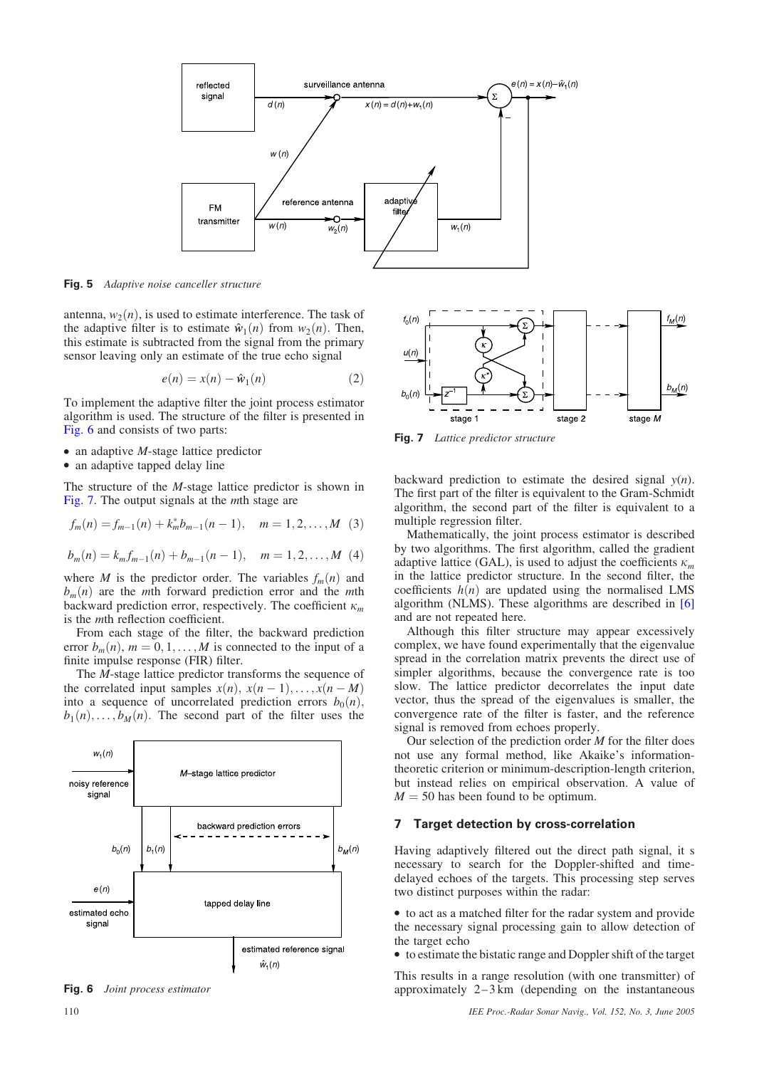<span id="page-3-0"></span>

Fig. 5 Adaptive noise canceller structure

antenna,  $w_2(n)$ , is used to estimate interference. The task of the adaptive filter is to estimate  $\hat{w}_1(n)$  from  $w_2(n)$ . Then, this estimate is subtracted from the signal from the primary sensor leaving only an estimate of the true echo signal

$$
e(n) = x(n) - \hat{w}_1(n) \tag{2}
$$

To implement the adaptive filter the joint process estimator algorithm is used. The structure of the filter is presented in Fig. 6 and consists of two parts:

- $\bullet$  an adaptive *M*-stage lattice predictor
- an adaptive tapped delay line

The structure of the M-stage lattice predictor is shown in Fig. 7. The output signals at the *mth* stage are

$$
f_m(n) = f_{m-1}(n) + k_m^* b_{m-1}(n-1), \quad m = 1, 2, ..., M \quad (3)
$$

$$
b_m(n) = k_m f_{m-1}(n) + b_{m-1}(n-1), \quad m = 1, 2, ..., M \ (4)
$$

where M is the predictor order. The variables  $f_m(n)$  and  $b_m(n)$  are the mth forward prediction error and the mth backward prediction error, respectively. The coefficient  $\kappa_m$ is the mth reflection coefficient.

From each stage of the filter, the backward prediction error  $b_m(n)$ ,  $m = 0, 1, ..., M$  is connected to the input of a finite impulse response (FIR) filter.

The M-stage lattice predictor transforms the sequence of the correlated input samples  $x(n), x(n-1), \ldots, x(n-M)$ into a sequence of uncorrelated prediction errors  $b_0(n)$ ,  $b_1(n), \ldots, b_M(n)$ . The second part of the filter uses the



Fig. 6 Joint process estimator

 $f_0(n)$  $f_M(n)$  $u(n)$  $b_M(n)$  $b_0(n)$ stage 1 stage 2 stage M

Fig. 7 Lattice predictor structure

backward prediction to estimate the desired signal  $y(n)$ . The first part of the filter is equivalent to the Gram-Schmidt algorithm, the second part of the filter is equivalent to a multiple regression filter.

Mathematically, the joint process estimator is described by two algorithms. The first algorithm, called the gradient adaptive lattice (GAL), is used to adjust the coefficients  $\kappa_m$ in the lattice predictor structure. In the second filter, the coefficients  $h(n)$  are updated using the normalised LMS algorithm (NLMS). These algorithms are described in  $[6]$ and are not repeated here.

Although this filter structure may appear excessively complex, we have found experimentally that the eigenvalue spread in the correlation matrix prevents the direct use of simpler algorithms, because the convergence rate is too slow. The lattice predictor decorrelates the input date vector, thus the spread of the eigenvalues is smaller, the convergence rate of the filter is faster, and the reference signal is removed from echoes properly.

Our selection of the prediction order  $M$  for the filter does not use any formal method, like Akaike's informationtheoretic criterion or minimum-description-length criterion, but instead relies on empirical observation. A value of  $M = 50$  has been found to be optimum.

#### 7 Target detection by cross-correlation

Having adaptively filtered out the direct path signal, it s necessary to search for the Doppler-shifted and timedelayed echoes of the targets. This processing step serves two distinct purposes within the radar:

. to act as a matched filter for the radar system and provide the necessary signal processing gain to allow detection of the target echo

. to estimate the bistatic range and Doppler shift of the target

This results in a range resolution (with one transmitter) of approximately  $2-3 \text{ km}$  (depending on the instantaneous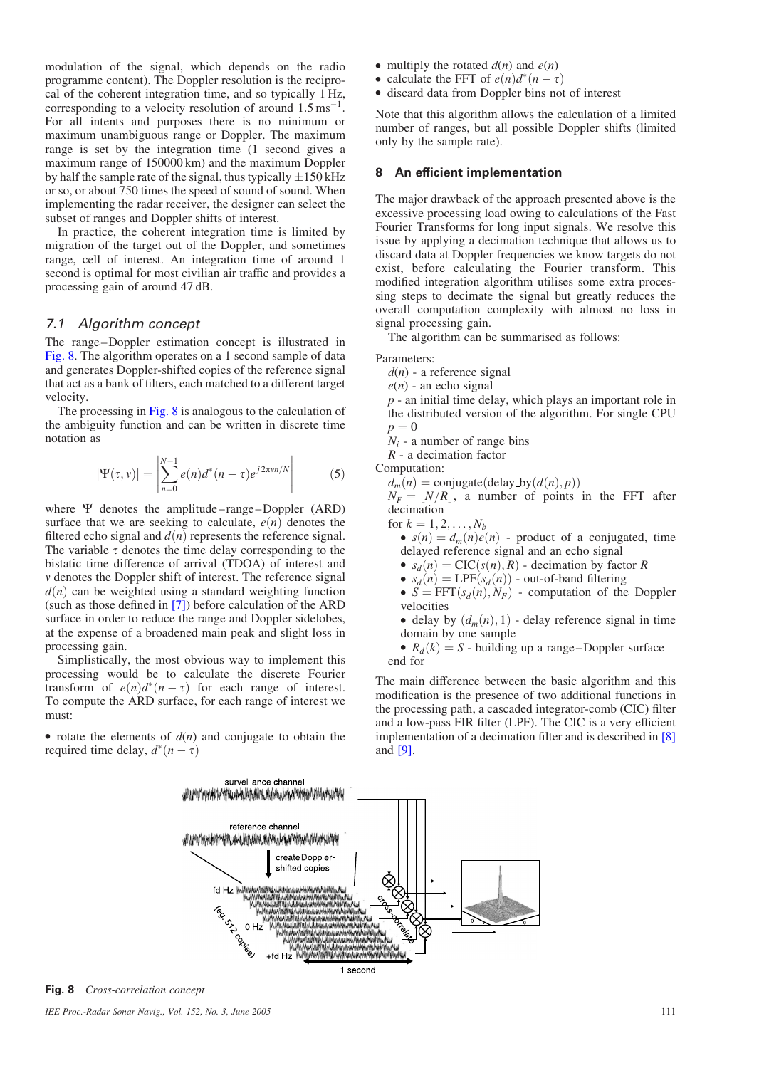modulation of the signal, which depends on the radio programme content). The Doppler resolution is the reciprocal of the coherent integration time, and so typically 1 Hz, corresponding to a velocity resolution of around  $1.5 \text{ ms}^{-1}$ . For all intents and purposes there is no minimum or maximum unambiguous range or Doppler. The maximum range is set by the integration time (1 second gives a maximum range of 150000 km) and the maximum Doppler by half the sample rate of the signal, thus typically  $\pm 150$  kHz or so, or about 750 times the speed of sound of sound. When implementing the radar receiver, the designer can select the subset of ranges and Doppler shifts of interest.

In practice, the coherent integration time is limited by migration of the target out of the Doppler, and sometimes range, cell of interest. An integration time of around 1 second is optimal for most civilian air traffic and provides a processing gain of around 47 dB.

# 7.1 Algorithm concept

The range –Doppler estimation concept is illustrated in Fig. 8. The algorithm operates on a 1 second sample of data and generates Doppler-shifted copies of the reference signal that act as a bank of filters, each matched to a different target velocity.

The processing in Fig. 8 is analogous to the calculation of the ambiguity function and can be written in discrete time notation as

$$
|\Psi(\tau, v)| = \left| \sum_{n=0}^{N-1} e(n) d^*(n - \tau) e^{j2\pi v n/N} \right| \tag{5}
$$

where  $\Psi$  denotes the amplitude – range – Doppler (ARD) surface that we are seeking to calculate,  $e(n)$  denotes the filtered echo signal and  $d(n)$  represents the reference signal. The variable  $\tau$  denotes the time delay corresponding to the bistatic time difference of arrival (TDOA) of interest and  $\nu$  denotes the Doppler shift of interest. The reference signal  $d(n)$  can be weighted using a standard weighting function (such as those defined in [\[7\]](#page-8-0)) before calculation of the ARD surface in order to reduce the range and Doppler sidelobes, at the expense of a broadened main peak and slight loss in processing gain.

Simplistically, the most obvious way to implement this processing would be to calculate the discrete Fourier transform of  $e(n)d^{*}(n-\tau)$  for each range of interest. To compute the ARD surface, for each range of interest we must:

• rotate the elements of  $d(n)$  and conjugate to obtain the required time delay,  $d^{*}(n - \tau)$ 

- multiply the rotated  $d(n)$  and  $e(n)$
- calculate the FFT of  $e(n)d^{*}(n-\tau)$
- . discard data from Doppler bins not of interest

Note that this algorithm allows the calculation of a limited number of ranges, but all possible Doppler shifts (limited only by the sample rate).

## 8 An efficient implementation

The major drawback of the approach presented above is the excessive processing load owing to calculations of the Fast Fourier Transforms for long input signals. We resolve this issue by applying a decimation technique that allows us to discard data at Doppler frequencies we know targets do not exist, before calculating the Fourier transform. This modified integration algorithm utilises some extra processing steps to decimate the signal but greatly reduces the overall computation complexity with almost no loss in signal processing gain.

The algorithm can be summarised as follows:

Parameters:

- $d(n)$  a reference signal
- $e(n)$  an echo signal

 $p$  - an initial time delay, which plays an important role in the distributed version of the algorithm. For single CPU  $p = 0$ 

- $N_i$  a number of range bins
- R a decimation factor
- Computation:
	- $d_m(n) = \text{conjugate}(delay \text{ by}(d(n), p))$

 $N_F = |N/R|$ , a number of points in the FFT after decimation

for  $k = 1, 2, ..., N_b$ 

•  $s(n) = d_m(n)e(n)$  - product of a conjugated, time delayed reference signal and an echo signal

- $s_d(n) = \text{CIC}(s(n), R)$  decimation by factor R
- $s_d(n) = \text{LPF}(s_d(n))$  out-of-band filtering
- $S = FFT(s_d(n), N_F)$  computation of the Doppler velocities

• delay by  $(d_m(n), 1)$  - delay reference signal in time domain by one sample

•  $R_d(k) = S$  - building up a range-Doppler surface end for

The main difference between the basic algorithm and this modification is the presence of two additional functions in the processing path, a cascaded integrator-comb (CIC) filter and a low-pass FIR filter (LPF). The CIC is a very efficient implementation of a decimation filter and is described in [\[8\]](#page-8-0) and [\[9\].](#page-8-0)



Fig. 8 Cross-correlation concept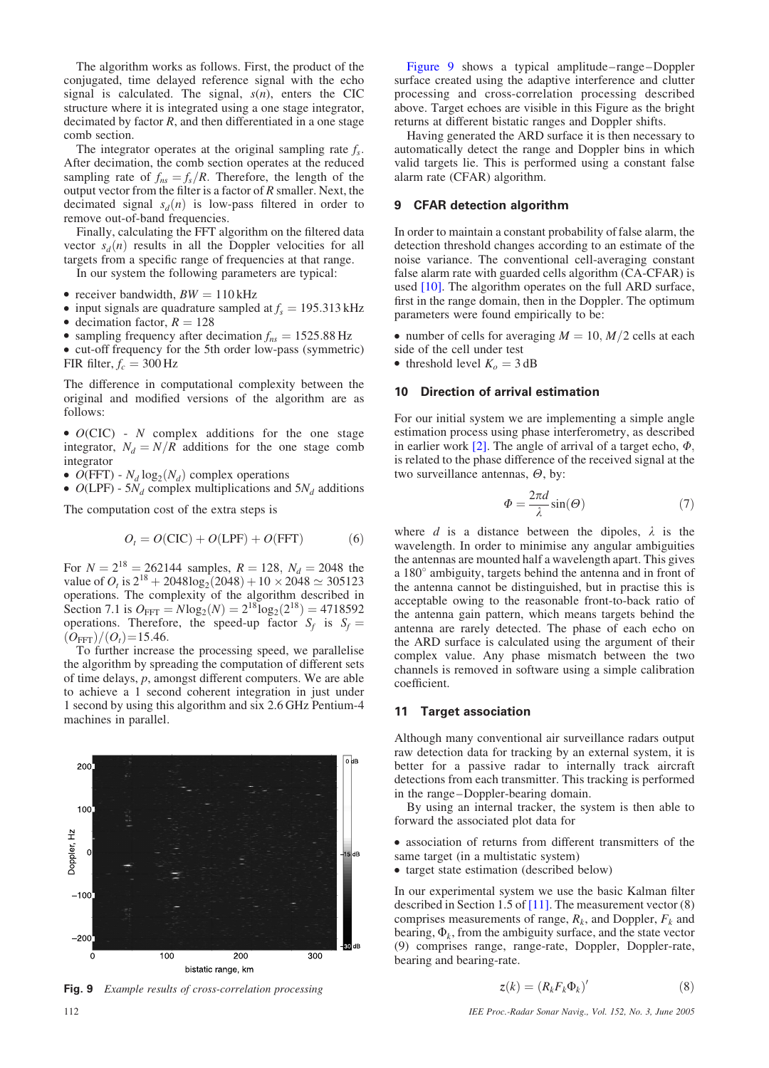The algorithm works as follows. First, the product of the conjugated, time delayed reference signal with the echo signal is calculated. The signal,  $s(n)$ , enters the CIC structure where it is integrated using a one stage integrator, decimated by factor  $R$ , and then differentiated in a one stage comb section.

The integrator operates at the original sampling rate  $f_s$ . After decimation, the comb section operates at the reduced sampling rate of  $f_{ns} = f_s/R$ . Therefore, the length of the output vector from the filter is a factor of  $R$  smaller. Next, the decimated signal  $s_d(n)$  is low-pass filtered in order to remove out-of-band frequencies.

Finally, calculating the FFT algorithm on the filtered data vector  $s_d(n)$  results in all the Doppler velocities for all targets from a specific range of frequencies at that range. In our system the following parameters are typical:

- receiver bandwidth,  $BW = 110$  kHz
- input signals are quadrature sampled at  $f_s = 195.313 \text{ kHz}$
- decimation factor,  $R = 128$
- sampling frequency after decimation  $f_{ns} = 1525.88 \text{ Hz}$
- . cut-off frequency for the 5th order low-pass (symmetric) FIR filter,  $f_c = 300$  Hz

The difference in computational complexity between the original and modified versions of the algorithm are as follows:

 $\bullet$   $O(CIC)$  - N complex additions for the one stage integrator,  $N_d = N/R$  additions for the one stage comb integrator

- $\bullet$  O(FFT)  $N_d \log_2(N_d)$  complex operations
- O(LPF)  $5N_d$  complex multiplications and  $5N_d$  additions

The computation cost of the extra steps is

$$
O_t = O(CIC) + O(LPF) + O(FFT)
$$
 (6)

For  $N = 2^{18} = 262144$  samples,  $R = 128$ ,  $N_d = 2048$  the value of  $O_t$  is  $2^{18} + 2048\log_2(2048) + 10 \times 2048 \simeq 305123$ operations. The complexity of the algorithm described in Section 7.1 is  $O_{\text{FFT}} = N \log_2(N) = 2^{18} \log_2(2^{18}) = 4718592$ operations. Therefore, the speed-up factor  $S_f$  is  $S_f =$  $(O_{\text{FFT}})/(O_t) = 15.46.$ 

To further increase the processing speed, we parallelise the algorithm by spreading the computation of different sets of time delays,  $p$ , amongst different computers. We are able to achieve a 1 second coherent integration in just under 1 second by using this algorithm and six 2.6 GHz Pentium-4 machines in parallel.



Fig. 9 Example results of cross-correlation processing

Figure 9 shows a typical amplitude–range–Doppler surface created using the adaptive interference and clutter processing and cross-correlation processing described above. Target echoes are visible in this Figure as the bright returns at different bistatic ranges and Doppler shifts.

Having generated the ARD surface it is then necessary to automatically detect the range and Doppler bins in which valid targets lie. This is performed using a constant false alarm rate (CFAR) algorithm.

## 9 CFAR detection algorithm

In order to maintain a constant probability of false alarm, the detection threshold changes according to an estimate of the noise variance. The conventional cell-averaging constant false alarm rate with guarded cells algorithm (CA-CFAR) is used  $[10]$ . The algorithm operates on the full ARD surface, first in the range domain, then in the Doppler. The optimum parameters were found empirically to be:

• number of cells for averaging  $M = 10$ ,  $M/2$  cells at each side of the cell under test

• threshold level  $K_o = 3$  dB

#### 10 Direction of arrival estimation

For our initial system we are implementing a simple angle estimation process using phase interferometry, as described in earlier work  $[2]$ . The angle of arrival of a target echo,  $\Phi$ , is related to the phase difference of the received signal at the two surveillance antennas,  $\Theta$ , by:

$$
\Phi = \frac{2\pi d}{\lambda} \sin(\Theta) \tag{7}
$$

where d is a distance between the dipoles,  $\lambda$  is the wavelength. In order to minimise any angular ambiguities the antennas are mounted half a wavelength apart. This gives a 180° ambiguity, targets behind the antenna and in front of the antenna cannot be distinguished, but in practise this is acceptable owing to the reasonable front-to-back ratio of the antenna gain pattern, which means targets behind the antenna are rarely detected. The phase of each echo on the ARD surface is calculated using the argument of their complex value. Any phase mismatch between the two channels is removed in software using a simple calibration coefficient.

#### 11 Target association

Although many conventional air surveillance radars output raw detection data for tracking by an external system, it is better for a passive radar to internally track aircraft detections from each transmitter. This tracking is performed in the range –Doppler-bearing domain.

By using an internal tracker, the system is then able to forward the associated plot data for

. association of returns from different transmitters of the same target (in a multistatic system)

. target state estimation (described below)

In our experimental system we use the basic Kalman filter described in Section 1.5 of [\[11\]](#page-8-0). The measurement vector (8) comprises measurements of range,  $R_k$ , and Doppler,  $F_k$  and bearing,  $\Phi_k$ , from the ambiguity surface, and the state vector (9) comprises range, range-rate, Doppler, Doppler-rate, bearing and bearing-rate.

$$
z(k) = (R_k F_k \Phi_k)'
$$
 (8)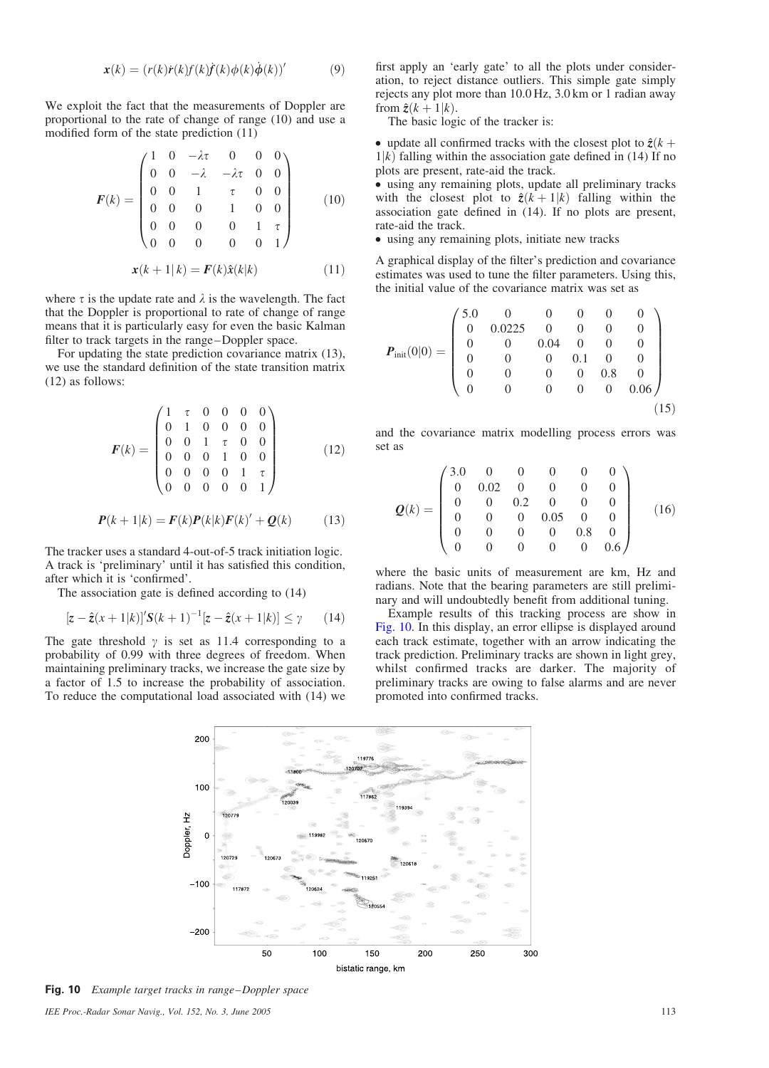$$
\mathbf{x}(k) = (r(k)\dot{r}(k)f(k)\dot{f}(k)\phi(k)\dot{\phi}(k))'
$$
 (9)

<span id="page-6-0"></span>We exploit the fact that the measurements of Doppler are proportional to the rate of change of range (10) and use a modified form of the state prediction (11)

$$
F(k) = \begin{pmatrix} 1 & 0 & -\lambda\tau & 0 & 0 & 0 \\ 0 & 0 & -\lambda & -\lambda\tau & 0 & 0 \\ 0 & 0 & 1 & \tau & 0 & 0 \\ 0 & 0 & 0 & 1 & 0 & 0 \\ 0 & 0 & 0 & 0 & 1 & \tau \\ 0 & 0 & 0 & 0 & 0 & 1 \end{pmatrix}
$$
 (10)

$$
\mathbf{x}(k+1|k) = \mathbf{F}(k)\hat{\mathbf{x}}(k|k)
$$
 (11)

where  $\tau$  is the update rate and  $\lambda$  is the wavelength. The fact that the Doppler is proportional to rate of change of range means that it is particularly easy for even the basic Kalman filter to track targets in the range –Doppler space.

For updating the state prediction covariance matrix (13), we use the standard definition of the state transition matrix (12) as follows:

$$
F(k) = \begin{pmatrix} 1 & \tau & 0 & 0 & 0 & 0 \\ 0 & 1 & 0 & 0 & 0 & 0 \\ 0 & 0 & 1 & \tau & 0 & 0 \\ 0 & 0 & 0 & 1 & 0 & 0 \\ 0 & 0 & 0 & 0 & 1 & \tau \\ 0 & 0 & 0 & 0 & 0 & 1 \end{pmatrix}
$$
(12)

$$
\boldsymbol{P}(k+1|k) = \boldsymbol{F}(k)\boldsymbol{P}(k|k)\boldsymbol{F}(k)' + \boldsymbol{Q}(k) \tag{13}
$$

The tracker uses a standard 4-out-of-5 track initiation logic. A track is 'preliminary' until it has satisfied this condition, after which it is 'confirmed'.

The association gate is defined according to (14)

$$
[z - \hat{z}(x+1|k)]'S(k+1)^{-1}[z - \hat{z}(x+1|k)] \le \gamma \qquad (14)
$$

The gate threshold  $\gamma$  is set as 11.4 corresponding to a probability of 0.99 with three degrees of freedom. When maintaining preliminary tracks, we increase the gate size by a factor of 1.5 to increase the probability of association. To reduce the computational load associated with (14) we

first apply an 'early gate' to all the plots under consideration, to reject distance outliers. This simple gate simply rejects any plot more than 10.0 Hz, 3.0 km or 1 radian away from  $\hat{z}(k + 1|k)$ .

The basic logic of the tracker is:

• update all confirmed tracks with the closest plot to  $\hat{z}(k + \theta)$  $1|k|$  falling within the association gate defined in (14) If no plots are present, rate-aid the track.

. using any remaining plots, update all preliminary tracks with the closest plot to  $\hat{z}(k+1|k)$  falling within the association gate defined in (14). If no plots are present, rate-aid the track.

. using any remaining plots, initiate new tracks

A graphical display of the filter's prediction and covariance estimates was used to tune the filter parameters. Using this, the initial value of the covariance matrix was set as

$$
\boldsymbol{P}_{init}(0|0) = \begin{pmatrix} 5.0 & 0 & 0 & 0 & 0 & 0 \\ 0 & 0.0225 & 0 & 0 & 0 & 0 \\ 0 & 0 & 0.04 & 0 & 0 & 0 \\ 0 & 0 & 0 & 0.1 & 0 & 0 \\ 0 & 0 & 0 & 0 & 0.8 & 0 \\ 0 & 0 & 0 & 0 & 0 & 0.06 \end{pmatrix}
$$
(15)

and the covariance matrix modelling process errors was set as

$$
\mathbf{Q}(k) = \begin{pmatrix} 3.0 & 0 & 0 & 0 & 0 & 0 \\ 0 & 0.02 & 0 & 0 & 0 & 0 \\ 0 & 0 & 0.2 & 0 & 0 & 0 \\ 0 & 0 & 0 & 0.05 & 0 & 0 \\ 0 & 0 & 0 & 0 & 0.8 & 0 \\ 0 & 0 & 0 & 0 & 0 & 0.6 \end{pmatrix}
$$
 (16)

where the basic units of measurement are km, Hz and radians. Note that the bearing parameters are still preliminary and will undoubtedly benefit from additional tuning.

Example results of this tracking process are show in Fig. 10. In this display, an error ellipse is displayed around each track estimate, together with an arrow indicating the track prediction. Preliminary tracks are shown in light grey, whilst confirmed tracks are darker. The majority of preliminary tracks are owing to false alarms and are never promoted into confirmed tracks.



Fig. 10 Example target tracks in range–Doppler space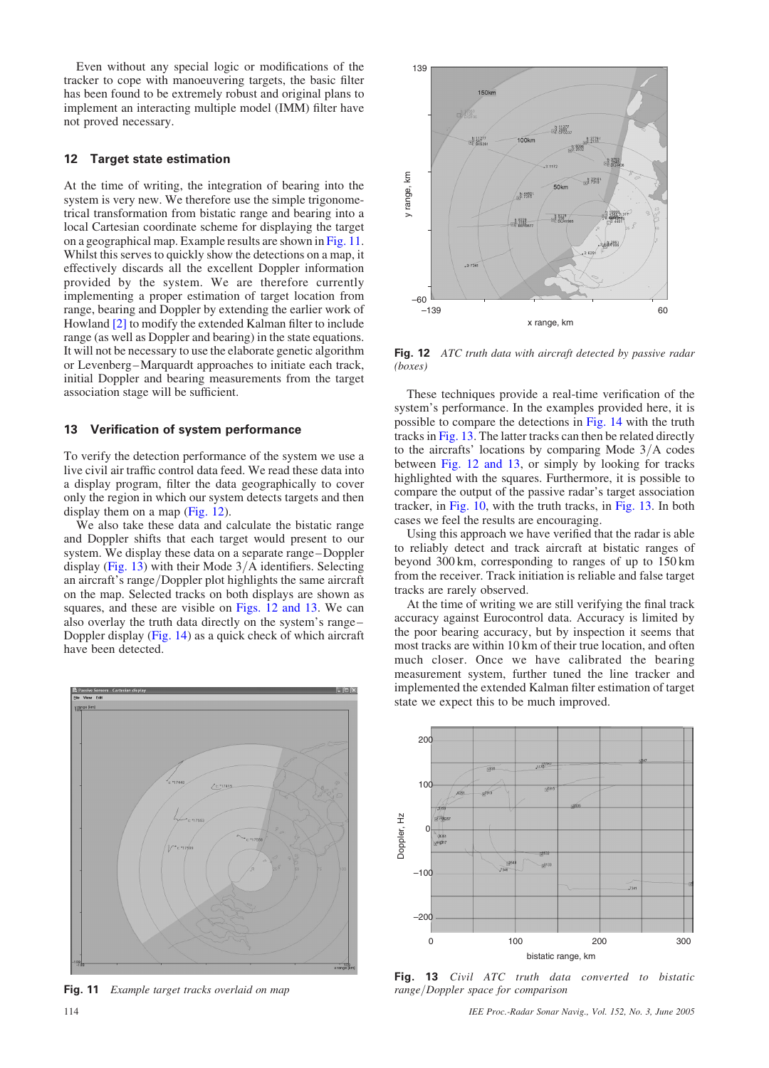Even without any special logic or modifications of the tracker to cope with manoeuvering targets, the basic filter has been found to be extremely robust and original plans to implement an interacting multiple model (IMM) filter have not proved necessary.

## 12 Target state estimation

At the time of writing, the integration of bearing into the system is very new. We therefore use the simple trigonometrical transformation from bistatic range and bearing into a local Cartesian coordinate scheme for displaying the target on a geographical map. Example results are shown in Fig. 11. Whilst this serves to quickly show the detections on a map, it effectively discards all the excellent Doppler information provided by the system. We are therefore currently implementing a proper estimation of target location from range, bearing and Doppler by extending the earlier work of Howland [\[2\]](#page-8-0) to modify the extended Kalman filter to include range (as well as Doppler and bearing) in the state equations. It will not be necessary to use the elaborate genetic algorithm or Levenberg –Marquardt approaches to initiate each track, initial Doppler and bearing measurements from the target association stage will be sufficient.

#### 13 Verification of system performance

To verify the detection performance of the system we use a live civil air traffic control data feed. We read these data into a display program, filter the data geographically to cover only the region in which our system detects targets and then display them on a map (Fig. 12).

We also take these data and calculate the bistatic range and Doppler shifts that each target would present to our system. We display these data on a separate range –Doppler display (Fig. 13) with their Mode  $3/A$  identifiers. Selecting an aircraft's range/Doppler plot highlights the same aircraft on the map. Selected tracks on both displays are shown as squares, and these are visible on Figs. 12 and 13. We can also overlay the truth data directly on the system's range – Doppler display ([Fig. 14](#page-8-0)) as a quick check of which aircraft have been detected.



Fig. 11 Example target tracks overlaid on map



Fig. 12 ATC truth data with aircraft detected by passive radar (boxes)

These techniques provide a real-time verification of the system's performance. In the examples provided here, it is possible to compare the detections in [Fig. 14](#page-8-0) with the truth tracks in Fig. 13. The latter tracks can then be related directly to the aircrafts' locations by comparing Mode  $3/A$  codes between Fig. 12 and 13, or simply by looking for tracks highlighted with the squares. Furthermore, it is possible to compare the output of the passive radar's target association tracker, in [Fig. 10,](#page-6-0) with the truth tracks, in Fig. 13. In both cases we feel the results are encouraging.

Using this approach we have verified that the radar is able to reliably detect and track aircraft at bistatic ranges of beyond 300 km, corresponding to ranges of up to 150 km from the receiver. Track initiation is reliable and false target tracks are rarely observed.

At the time of writing we are still verifying the final track accuracy against Eurocontrol data. Accuracy is limited by the poor bearing accuracy, but by inspection it seems that most tracks are within 10 km of their true location, and often much closer. Once we have calibrated the bearing measurement system, further tuned the line tracker and implemented the extended Kalman filter estimation of target state we expect this to be much improved.



Fig. 13 Civil ATC truth data converted to bistatic